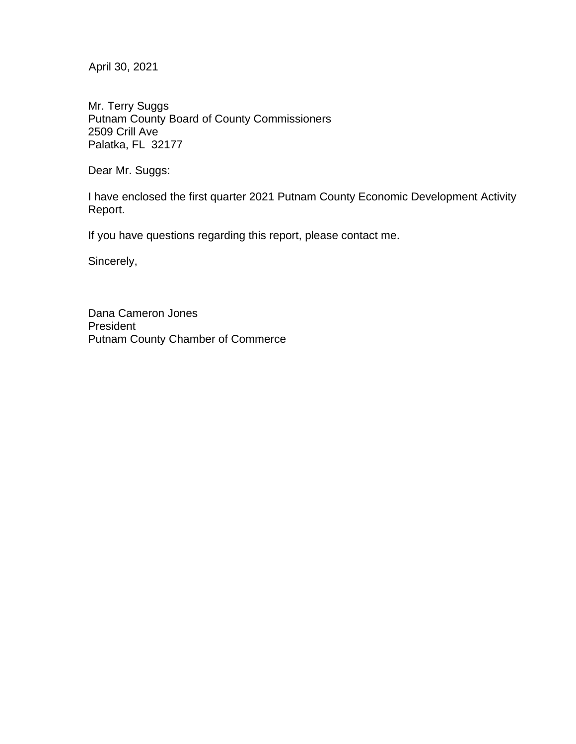April 30, 2021

Mr. Terry Suggs Putnam County Board of County Commissioners 2509 Crill Ave Palatka, FL 32177

Dear Mr. Suggs:

I have enclosed the first quarter 2021 Putnam County Economic Development Activity Report.

If you have questions regarding this report, please contact me.

Sincerely,

Dana Cameron Jones President Putnam County Chamber of Commerce